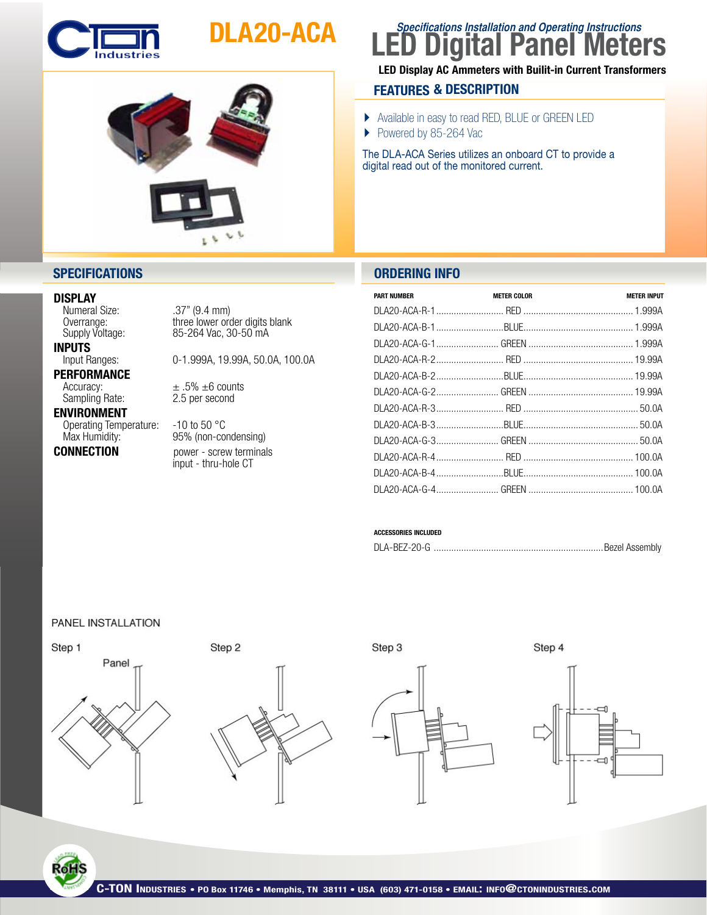

# DLA20-ACA



## **LED Digital Panel Meters Specifications Installation and Operating Instructions**

### LED Display AC Ammeters with Builit-in Current Transformers

### **FEATURES & DESCRIPTION**

- } Available in easy to read RED, BLUE or GREEN LED
- Powered by 85-264 Vac

The DLA-ACA Series utilizes an onboard CT to provide a digital read out of the monitored current.

### **SPECIFICATIONS ORDERING INFO**

| <b>PART NUMBER</b> | <b>METER COLOR</b> | <b>METER INPUT</b> |
|--------------------|--------------------|--------------------|
|                    |                    |                    |
|                    |                    |                    |
|                    |                    |                    |
|                    |                    |                    |
|                    |                    |                    |
|                    |                    |                    |
|                    |                    |                    |
|                    |                    |                    |
|                    |                    |                    |
|                    |                    |                    |
|                    |                    |                    |
|                    |                    |                    |

### ACCESSORIES INCLUDED

|--|--|

## **DISPLAY**<br>Numeral Size:

 Numeral Size: .37" (9.4 mm)

**INPUTS**<br>Input Ranges:

**PERFORMANCE**<br>Accuracy:

### Sampling Rate: ENVIRONMENT

Operating Temperature: -10 to 50 °C<br>Max Humidity: 95% (non-co

Overrange: three lower order digits blank<br>Supply Voltage: 85-264 Vac, 30-50 mA 85-264 Vac, 30-50 mA

0-1.999A, 19.99A, 50.0A, 100.0A

 $\pm .5\% \pm 6$  counts<br>2.5 per second

95% (non-condensing) **CONNECTION** power - screw terminals<br>input - thru-hole CT

| PANEL INSTALLATION |  |
|--------------------|--|
|--------------------|--|







Step 4